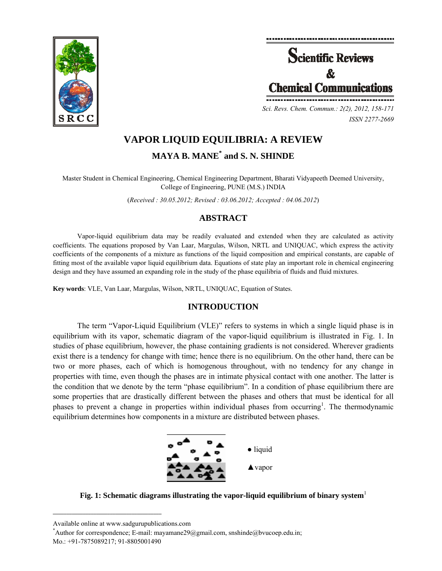



*ISSN 2277-2669* 

# **VAPOR LIQUID EQUILIBRIA: A REVIEW**

**MAYA B. MANE\* and S. N. SHINDE** 

Master Student in Chemical Engineering, Chemical Engineering Department, Bharati Vidyapeeth Deemed University, College of Engineering, PUNE (M.S.) INDIA

(*Received : 30.05.2012; Revised : 03.06.2012; Accepted : 04.06.2012*)

# **ABSTRACT**

Vapor-liquid equilibrium data may be readily evaluated and extended when they are calculated as activity coefficients. The equations proposed by Van Laar, Margulas, Wilson, NRTL and UNIQUAC, which express the activity coefficients of the components of a mixture as functions of the liquid composition and empirical constants, are capable of fitting most of the available vapor liquid equilibrium data. Equations of state play an important role in chemical engineering design and they have assumed an expanding role in the study of the phase equilibria of fluids and fluid mixtures.

**Key words**: VLE, Van Laar, Margulas, Wilson, NRTL, UNIQUAC, Equation of States.

# **INTRODUCTION**

The term "Vapor-Liquid Equilibrium (VLE)" refers to systems in which a single liquid phase is in equilibrium with its vapor, schematic diagram of the vapor-liquid equilibrium is illustrated in Fig. 1. In studies of phase equilibrium, however, the phase containing gradients is not considered. Wherever gradients exist there is a tendency for change with time; hence there is no equilibrium. On the other hand, there can be two or more phases, each of which is homogenous throughout, with no tendency for any change in properties with time, even though the phases are in intimate physical contact with one another. The latter is the condition that we denote by the term "phase equilibrium". In a condition of phase equilibrium there are some properties that are drastically different between the phases and others that must be identical for all phases to prevent a change in properties within individual phases from occurring<sup>1</sup>. The thermodynamic equilibrium determines how components in a mixture are distributed between phases.



**Fig. 1: Schematic diagrams illustrating the vapor-liquid equilibrium of binary system**<sup>1</sup>

**\_\_\_\_\_\_\_\_\_\_\_\_\_\_\_\_\_\_\_\_\_\_\_\_\_\_\_\_\_\_\_\_\_\_\_\_\_\_\_\_**

Available online at www.sadgurupublications.com \*

Author for correspondence; E-mail: mayamane29@gmail.com, snshinde@bvucoep.edu.in;

Mo.: +91-7875089217; 91-8805001490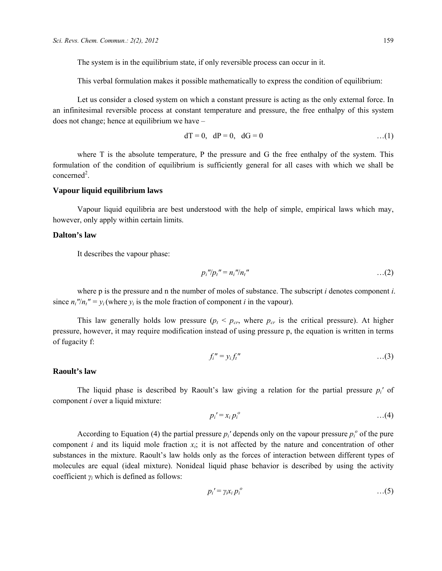The system is in the equilibrium state, if only reversible process can occur in it.

This verbal formulation makes it possible mathematically to express the condition of equilibrium:

Let us consider a closed system on which a constant pressure is acting as the only external force. In an infinitesimal reversible process at constant temperature and pressure, the free enthalpy of this system does not change; hence at equilibrium we have –

$$
dT = 0, \quad dP = 0, \quad dG = 0 \tag{1}
$$

where T is the absolute temperature, P the pressure and G the free enthalpy of the system. This formulation of the condition of equilibrium is sufficiently general for all cases with which we shall be concerned<sup>2</sup>.

# **Vapour liquid equilibrium laws**

Vapour liquid equilibria are best understood with the help of simple, empirical laws which may, however, only apply within certain limits.

# **Dalton's law**

It describes the vapour phase:

$$
p_i" / p_i" = n_i" / n_i"
$$
  $\dots (2)$ 

where p is the pressure and n the number of moles of substance. The subscript *i* denotes component *i*. since  $n_i''/n_i'' = y_i$  (where  $y_i$  is the mole fraction of component *i* in the vapour).

This law generally holds low pressure  $(p_t < p_{cr}$ , where  $p_{cr}$  is the critical pressure). At higher pressure, however, it may require modification instead of using pressure p, the equation is written in terms of fugacity f:

$$
f_i'' = y_i f_i'' \qquad \qquad \ldots (3)
$$

#### **Raoult's law**

The liquid phase is described by Raoult's law giving a relation for the partial pressure *pi'* of component *i* over a liquid mixture:

$$
p_i' = x_i p_i^o \qquad \qquad \ldots (4)
$$

According to Equation (4) the partial pressure  $p_i$ ' depends only on the vapour pressure  $p_i^{\circ}$  of the pure component *i* and its liquid mole fraction *xi*; it is not affected by the nature and concentration of other substances in the mixture. Raoult's law holds only as the forces of interaction between different types of molecules are equal (ideal mixture). Nonideal liquid phase behavior is described by using the activity coefficient *γi* which is defined as follows:

$$
p_i' = \gamma_i x_i p_i^o \qquad \qquad \ldots (5)
$$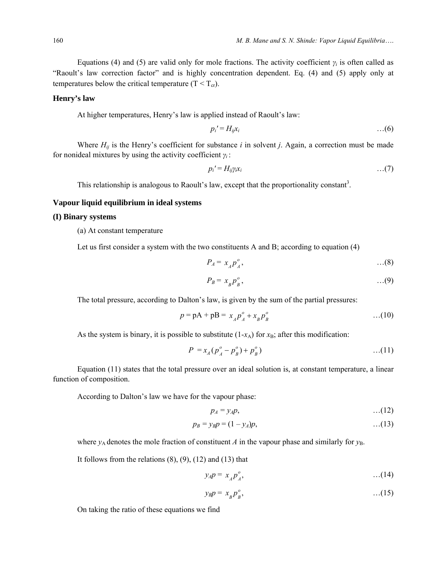Equations (4) and (5) are valid only for mole fractions. The activity coefficient  $\gamma_i$  is often called as "Raoult's law correction factor" and is highly concentration dependent. Eq. (4) and (5) apply only at temperatures below the critical temperature  $(T < T_{cr})$ .

# **Henry's law**

At higher temperatures, Henry's law is applied instead of Raoult's law:

$$
p_i' = H_{ij}x_i \tag{6}
$$

Where  $H_{ii}$  is the Henry's coefficient for substance  $i$  in solvent  $j$ . Again, a correction must be made for nonideal mixtures by using the activity coefficient *γi* :

$$
p_i' = H_{ij} \gamma_i x_i \tag{7}
$$

This relationship is analogous to Raoult's law, except that the proportionality constant<sup>3</sup>.

# **Vapour liquid equilibrium in ideal systems**

# **(I) Binary systems**

(a) At constant temperature

Let us first consider a system with the two constituents A and B; according to equation (4)

$$
P_A = x_A p_A^o, \qquad \qquad \dots (8)
$$

$$
P_B = x_B p_B^o, \qquad \qquad \dots (9)
$$

The total pressure, according to Dalton's law, is given by the sum of the partial pressures:

$$
p = pA + pB = x_A p_A^o + x_B p_B^o
$$
...(10)

As the system is binary, it is possible to substitute  $(1-x_A)$  for  $x_B$ ; after this modification:

$$
P = x_A (p_A^o - p_B^o) + p_B^o)
$$
...(11)

Equation (11) states that the total pressure over an ideal solution is, at constant temperature, a linear function of composition.

According to Dalton's law we have for the vapour phase:

$$
p_A = y_A p, \qquad \qquad \ldots (12)
$$

$$
p_B = y_B p = (1 - y_A)p, \tag{13}
$$

where  $y_A$  denotes the mole fraction of constituent *A* in the vapour phase and similarly for  $y_B$ .

It follows from the relations  $(8)$ ,  $(9)$ ,  $(12)$  and  $(13)$  that

$$
y_A p = x_A p_A^o, \qquad \qquad \dots (14)
$$

$$
y_B p = x_B p_B^o, \qquad \qquad \dots (15)
$$

On taking the ratio of these equations we find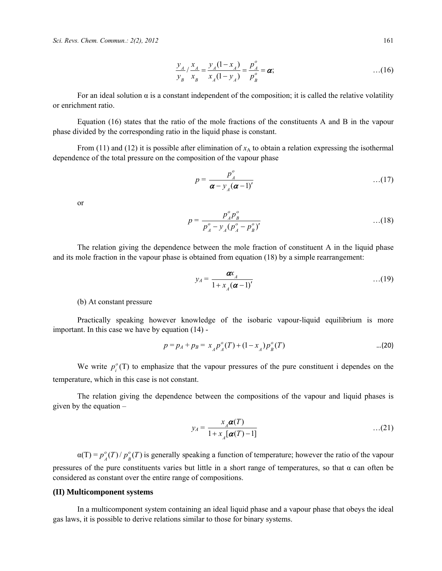$$
\frac{y_A}{y_B} / \frac{x_A}{x_B} = \frac{y_A (1 - x_A)}{x_A (1 - y_A)} = \frac{p_A^o}{p_B^o} = \alpha; \tag{16}
$$

For an ideal solution  $\alpha$  is a constant independent of the composition; it is called the relative volatility or enrichment ratio.

Equation (16) states that the ratio of the mole fractions of the constituents A and B in the vapour phase divided by the corresponding ratio in the liquid phase is constant.

From (11) and (12) it is possible after elimination of  $x_A$  to obtain a relation expressing the isothermal dependence of the total pressure on the composition of the vapour phase

$$
p = \frac{p_A^o}{\boldsymbol{\alpha} - y_A(\boldsymbol{\alpha} - 1)'} \qquad \qquad \dots (17)
$$

or

$$
p = \frac{p_A^o p_B^o}{p_A^o - y_A (p_A^o - p_B^o)'} \qquad \qquad \dots (18)
$$

The relation giving the dependence between the mole fraction of constituent A in the liquid phase and its mole fraction in the vapour phase is obtained from equation (18) by a simple rearrangement:

$$
y_A = \frac{\boldsymbol{\alpha} x_A}{1 + x_A(\boldsymbol{\alpha} - 1)'}
$$
...(19)

(b) At constant pressure

Practically speaking however knowledge of the isobaric vapour-liquid equilibrium is more important. In this case we have by equation (14) -

$$
p = p_A + p_B = x_A p_A^o(T) + (1 - x_A) p_B^o(T) \tag{20}
$$

We write  $p_i^{\circ}(T)$  to emphasize that the vapour pressures of the pure constituent i dependes on the temperature, which in this case is not constant.

The relation giving the dependence between the compositions of the vapour and liquid phases is given by the equation –

$$
y_A = \frac{x_A \boldsymbol{\alpha}(T)}{1 + x_A[\boldsymbol{\alpha}(T) - 1]}
$$
...(21)

 $\alpha(T) = p_A^o(T)/p_B^o(T)$  $P_A^o(T)/P_B^o(T)$  is generally speaking a function of temperature; however the ratio of the vapour pressures of the pure constituents varies but little in a short range of temperatures, so that  $\alpha$  can often be considered as constant over the entire range of compositions.

# **(II) Multicomponent systems**

In a multicomponent system containing an ideal liquid phase and a vapour phase that obeys the ideal gas laws, it is possible to derive relations similar to those for binary systems.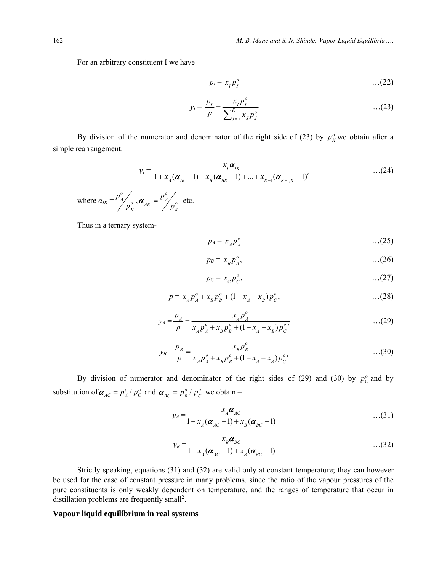For an arbitrary constituent I we have

$$
p_I = x_I p_I^o \qquad \qquad \dots (22)
$$

$$
y_I = \frac{p_I}{p} = \frac{x_I p_I^o}{\sum_{J=A}^K x_J p_J^o}
$$
...(23)

By division of the numerator and denominator of the right side of (23) by  $p<sub>K</sub><sup>o</sup>$  we obtain after a simple rearrangement.

$$
y_{I} = \frac{x_{I} \alpha_{I K}}{1 + x_{A} (\alpha_{I K} - 1) + x_{B} (\alpha_{B K} - 1) + ... + x_{K-1} (\alpha_{K-1, K} - 1)'} \qquad \qquad \dots (24)
$$

where 
$$
\alpha_{IK} = \frac{p_A^o}{p_K^o}
$$
,  $\boldsymbol{\alpha}_{AK} = \frac{p_A^o}{p_K^o}$  etc.

Thus in a ternary system-

$$
p_A = x_A p_A^o \qquad \qquad \dots (25)
$$

$$
p_B = x_B p_B^o, \qquad \qquad \dots (26)
$$

$$
p_C = x_C p_C^o, \tag{27}
$$

$$
p = x_A p_A^o + x_B p_B^o + (1 - x_A - x_B) p_C^o, \tag{28}
$$

$$
y_A = \frac{p_A}{p} = \frac{x_A p_A^o}{x_A p_A^o + x_B p_B^o + (1 - x_A - x_B) p_C^o}
$$
...(29)

$$
y_B = \frac{p_B}{p} = \frac{x_B p_B^o}{x_A p_A^o + x_B p_B^o + (1 - x_A - x_B) p_C^{o'}}
$$
...(30)

By division of numerator and denominator of the right sides of (29) and (30) by  $p_c^o$  and by substitution of  $\boldsymbol{\alpha}_{AC} = p_A^o / p_C^o$  and  $\boldsymbol{\alpha}_{BC} = p_B^o / p_C^o$  $\alpha_{BC} = p_B^o / p_C^o$  we obtain –

$$
y_A = \frac{x_A \alpha_{AC}}{1 - x_A (\alpha_{AC} - 1) + x_B (\alpha_{BC} - 1)}
$$
...(31)

$$
y_B = \frac{x_B \alpha_{BC}}{1 - x_A (\alpha_{AC} - 1) + x_B (\alpha_{BC} - 1)}
$$
...(32)

Strictly speaking, equations (31) and (32) are valid only at constant temperature; they can however be used for the case of constant pressure in many problems, since the ratio of the vapour pressures of the pure constituents is only weakly dependent on temperature, and the ranges of temperature that occur in distillation problems are frequently small<sup>2</sup>.

# **Vapour liquid equilibrium in real systems**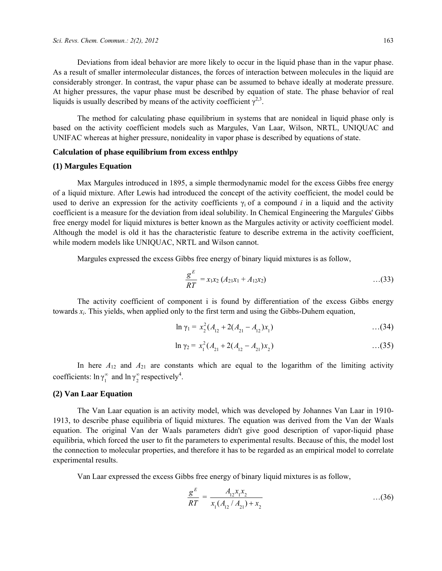Deviations from ideal behavior are more likely to occur in the liquid phase than in the vapur phase. As a result of smaller intermolecular distances, the forces of interaction between molecules in the liquid are considerably stronger. In contrast, the vapur phase can be assumed to behave ideally at moderate pressure. At higher pressures, the vapur phase must be described by equation of state. The phase behavior of real liquids is usually described by means of the activity coefficient  $\gamma^{2,3}$ .

The method for calculating phase equilibrium in systems that are nonideal in liquid phase only is based on the activity coefficient models such as Margules, Van Laar, Wilson, NRTL, UNIQUAC and UNIFAC whereas at higher pressure, nonideality in vapor phase is described by equations of state.

# **Calculation of phase equilibrium from excess enthlpy**

# **(1) Margules Equation**

Max Margules introduced in 1895, a simple thermodynamic model for the excess Gibbs free energy of a liquid mixture. After Lewis had introduced the concept of the activity coefficient, the model could be used to derive an expression for the activity coefficients  $\gamma_i$  of a compound *i* in a liquid and the activity coefficient is a measure for the deviation from ideal solubility. In Chemical Engineering the Margules' Gibbs free energy model for liquid mixtures is better known as the Margules activity or activity coefficient model. Although the model is old it has the characteristic feature to describe extrema in the activity coefficient, while modern models like UNIQUAC, NRTL and Wilson cannot.

Margules expressed the excess Gibbs free energy of binary liquid mixtures is as follow,

$$
\frac{g^E}{RT} = x_1 x_2 (A_{21} x_1 + A_{12} x_2) \qquad \qquad \dots (33)
$$

The activity coefficient of component i is found by differentiation of the excess Gibbs energy towards *xi*. This yields, when applied only to the first term and using the Gibbs-Duhem equation,

$$
\ln \gamma_1 = x_2^2 (A_{12} + 2(A_{21} - A_{12})x_1) \tag{34}
$$

$$
\ln \gamma_2 = x_1^2 (A_{21} + 2(A_{12} - A_{21}) x_2) \tag{35}
$$

In here  $A_{12}$  and  $A_{21}$  are constants which are equal to the logarithm of the limiting activity coefficients:  $\ln \gamma_1^{\infty}$  and  $\ln \gamma_2^{\infty}$  respectively<sup>4</sup>.

### **(2) Van Laar Equation**

The Van Laar equation is an activity model, which was developed by Johannes Van Laar in 1910- 1913, to describe phase equilibria of liquid mixtures. The equation was derived from the Van der Waals equation. The original Van der Waals parameters didn't give good description of vapor-liquid phase equilibria, which forced the user to fit the parameters to experimental results. Because of this, the model lost the connection to molecular properties, and therefore it has to be regarded as an empirical model to correlate experimental results.

Van Laar expressed the excess Gibbs free energy of binary liquid mixtures is as follow,

$$
\frac{g^E}{RT} = \frac{A_{12}x_1x_2}{x_1(A_{12}/A_{21}) + x_2} \tag{36}
$$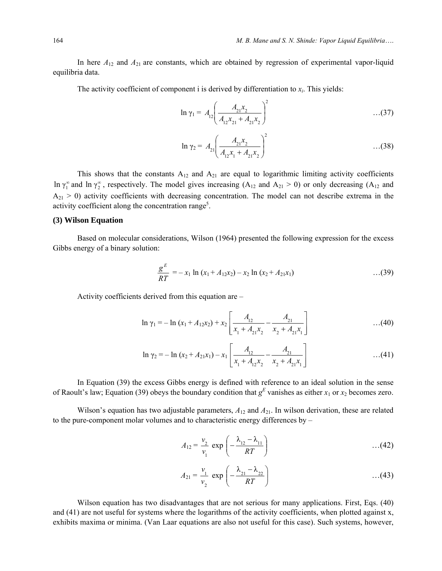In here  $A_{12}$  and  $A_{21}$  are constants, which are obtained by regression of experimental vapor-liquid equilibria data.

The activity coefficient of component i is derived by differentiation to  $x_i$ . This yields:

$$
\ln \gamma_1 = A_{12} \left( \frac{A_{21} x_2}{A_{12} x_{21} + A_{21} x_2} \right)^2 \tag{37}
$$

$$
\ln \gamma_2 = A_{21} \left( \frac{A_{21} x_2}{A_{12} x_1 + A_{21} x_2} \right)^2 \tag{38}
$$

This shows that the constants  $A_{12}$  and  $A_{21}$  are equal to logarithmic limiting activity coefficients ln  $\gamma_1^{\infty}$  and ln  $\gamma_2^{\infty}$ , respectively. The model gives increasing (A<sub>12</sub> and A<sub>21</sub> > 0) or only decreasing (A<sub>12</sub> and  $A_{21} > 0$ ) activity coefficients with decreasing concentration. The model can not describe extrema in the activity coefficient along the concentration range<sup>5</sup>.

# **(3) Wilson Equation**

Based on molecular considerations, Wilson (1964) presented the following expression for the excess Gibbs energy of a binary solution:

$$
\frac{g^{E}}{RT} = -x_1 \ln (x_1 + A_{12}x_2) - x_2 \ln (x_2 + A_{21}x_1) \qquad \qquad \dots (39)
$$

Activity coefficients derived from this equation are –

$$
\ln \gamma_1 = -\ln (x_1 + A_{12}x_2) + x_2 \left[ \frac{A_{12}}{x_1 + A_{21}x_2} - \frac{A_{21}}{x_2 + A_{21}x_1} \right] \tag{40}
$$

$$
\ln \gamma_2 = -\ln (x_2 + A_{21}x_1) - x_1 \left[ \frac{A_{12}}{x_1 + A_{12}x_2} - \frac{A_{21}}{x_2 + A_{21}x_1} \right] \tag{41}
$$

In Equation (39) the excess Gibbs energy is defined with reference to an ideal solution in the sense of Raoult's law; Equation (39) obeys the boundary condition that  $g^E$  vanishes as either  $x_1$  or  $x_2$  becomes zero.

Wilson's equation has two adjustable parameters,  $A_{12}$  and  $A_{21}$ . In wilson derivation, these are related to the pure-component molar volumes and to characteristic energy differences by –

$$
A_{12} = \frac{v_2}{v_1} \exp\left(-\frac{\lambda_{12} - \lambda_{11}}{RT}\right) \tag{42}
$$

$$
A_{21} = \frac{v_1}{v_2} \exp\left(-\frac{\lambda_{21} - \lambda_{22}}{RT}\right) \tag{43}
$$

Wilson equation has two disadvantages that are not serious for many applications. First, Eqs. (40) and (41) are not useful for systems where the logarithms of the activity coefficients, when plotted against x, exhibits maxima or minima. (Van Laar equations are also not useful for this case). Such systems, however,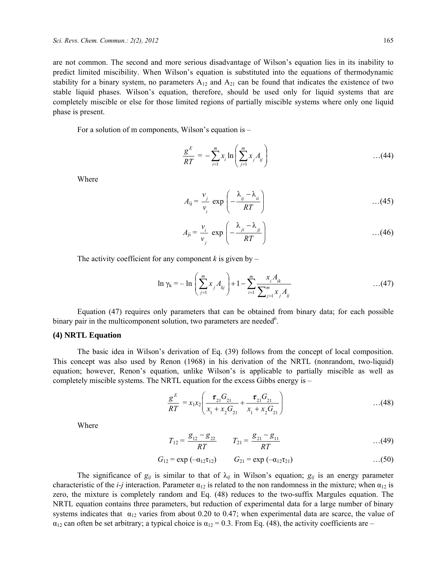are not common. The second and more serious disadvantage of Wilson's equation lies in its inability to predict limited miscibility. When Wilson's equation is substituted into the equations of thermodynamic stability for a binary system, no parameters  $A_{12}$  and  $A_{21}$  can be found that indicates the existence of two stable liquid phases. Wilson's equation, therefore, should be used only for liquid systems that are completely miscible or else for those limited regions of partially miscible systems where only one liquid phase is present.

For a solution of m components, Wilson's equation is –

$$
\frac{g^{E}}{RT} = -\sum_{i=1}^{m} x_{i} \ln \left( \sum_{j=1}^{m} x_{j} A_{ij} \right) \tag{44}
$$

Where

$$
A_{ij} = \frac{v_j}{v_i} \exp\left(-\frac{\lambda_{ij} - \lambda_{ii}}{RT}\right) \tag{45}
$$

$$
A_{ji} = \frac{v_i}{v_j} \exp\left(-\frac{\lambda_{ji} - \lambda_{jj}}{RT}\right) \tag{46}
$$

The activity coefficient for any component  $k$  is given by –

$$
\ln \gamma_{k} = -\ln \left( \sum_{j=1}^{m} x_{j} A_{kj} \right) + 1 - \sum_{i=1}^{m} \frac{x_{i} A_{ik}}{\sum_{j=1}^{m} x_{j} A_{ij}} \qquad \qquad \dots (47)
$$

Equation (47) requires only parameters that can be obtained from binary data; for each possible binary pair in the multicomponent solution, two parameters are needed<sup>6</sup>.

## **(4) NRTL Equation**

The basic idea in Wilson's derivation of Eq. (39) follows from the concept of local composition. This concept was also used by Renon (1968) in his derivation of the NRTL (nonrandom, two-liquid) equation; however, Renon's equation, unlike Wilson's is applicable to partially miscible as well as completely miscible systems. The NRTL equation for the excess Gibbs energy is –

$$
\frac{g^{E}}{RT} = x_1 x_2 \left( \frac{\tau_{21} G_{21}}{x_1 + x_2 G_{21}} + \frac{\tau_{21} G_{21}}{x_1 + x_2 G_{21}} \right) \tag{48}
$$

Where

$$
T_{12} = \frac{g_{12} - g_{22}}{RT} \qquad T_{21} = \frac{g_{21} - g_{11}}{RT} \qquad \qquad \dots (49)
$$

$$
G_{12} = \exp(-\alpha_{12}\tau_{12}) \qquad G_{21} = \exp(-\alpha_{12}\tau_{21}) \qquad \qquad \dots (50)
$$

The significance of  $g_{ij}$  is similar to that of  $\lambda_{ij}$  in Wilson's equation;  $g_{ij}$  is an energy parameter characteristic of the *i-j* interaction. Parameter  $\alpha_{12}$  is related to the non randomness in the mixture; when  $\alpha_{12}$  is zero, the mixture is completely random and Eq. (48) reduces to the two-suffix Margules equation. The NRTL equation contains three parameters, but reduction of experimental data for a large number of binary systems indicates that  $\alpha_{12}$  varies from about 0.20 to 0.47; when experimental data are scarce, the value of  $\alpha_{12}$  can often be set arbitrary; a typical choice is  $\alpha_{12} = 0.3$ . From Eq. (48), the activity coefficients are –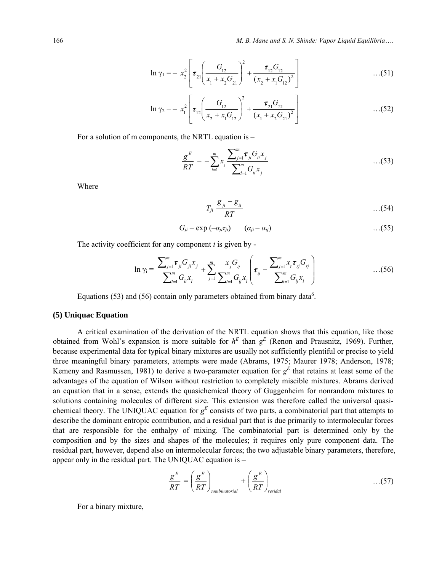166 *M. B. Mane and S. N. Shinde: Vapor Liquid Equilibria*….

$$
\ln \gamma_1 = - x_2^2 \left[ \tau_{21} \left( \frac{G_{12}}{x_1 + x_2 G_{21}} \right)^2 + \frac{\tau_{12} G_{12}}{(x_2 + x_1 G_{12})^2} \right] \tag{51}
$$

$$
\ln \gamma_2 = -x_1^2 \left[ \tau_{12} \left( \frac{G_{12}}{x_2 + x_1 G_{12}} \right)^2 + \frac{\tau_{21} G_{21}}{(x_1 + x_2 G_{21})^2} \right] \tag{52}
$$

For a solution of m components, the NRTL equation is –

$$
\frac{g^{E}}{RT} = -\sum_{i=1}^{m} x_{i} \frac{\sum_{j=1}^{m} \tau_{ji} G_{li} x_{j}}{\sum_{l=1}^{m} G_{li} x_{j}} \qquad \qquad \dots (53)
$$

Where

$$
T_{ji}\frac{g_{ji}-g_{ii}}{RT} \qquad \qquad \ldots (54)
$$

$$
G_{ji} = \exp(-\alpha_{ji}\tau_{ji}) \qquad (\alpha_{ji} = \alpha_{ij}) \qquad \qquad \ldots (55)
$$

The activity coefficient for any component *i* is given by -

$$
\ln \gamma_{i} = \frac{\sum_{j=1}^{m} \tau_{ji} G_{ji} x_{j}}{\sum_{l=1}^{m} G_{li} x_{l}} + \sum_{j=1}^{m} \frac{x_{j} G_{ij}}{\sum_{l=1}^{m} G_{lj} x_{l}} \left( \tau_{ij} - \frac{\sum_{j=1}^{m} x_{j} \tau_{ij} G_{ij}}{\sum_{l=1}^{m} G_{lj} x_{l}} \right) \tag{56}
$$

Equations (53) and (56) contain only parameters obtained from binary data<sup>6</sup>.

### **(5) Uniquac Equation**

A critical examination of the derivation of the NRTL equation shows that this equation, like those obtained from Wohl's expansion is more suitable for  $h^E$  than  $g^E$  (Renon and Prausnitz, 1969). Further, because experimental data for typical binary mixtures are usually not sufficiently plentiful or precise to yield three meaningful binary parameters, attempts were made (Abrams, 1975; Maurer 1978; Anderson, 1978; Kemeny and Rasmussen, 1981) to derive a two-parameter equation for  $g<sup>E</sup>$  that retains at least some of the advantages of the equation of Wilson without restriction to completely miscible mixtures. Abrams derived an equation that in a sense, extends the quasichemical theory of Guggenheim for nonrandom mixtures to solutions containing molecules of different size. This extension was therefore called the universal quasichemical theory. The UNIQUAC equation for  $g<sup>E</sup>$  consists of two parts, a combinatorial part that attempts to describe the dominant entropic contribution, and a residual part that is due primarily to intermolecular forces that are responsible for the enthalpy of mixing. The combinatorial part is determined only by the composition and by the sizes and shapes of the molecules; it requires only pure component data. The residual part, however, depend also on intermolecular forces; the two adjustable binary parameters, therefore, appear only in the residual part. The UNIQUAC equation is –

$$
\frac{g^{E}}{RT} = \left(\frac{g^{E}}{RT}\right)_{combinatorial} + \left(\frac{g^{E}}{RT}\right)_{residal}
$$
...(57)

For a binary mixture,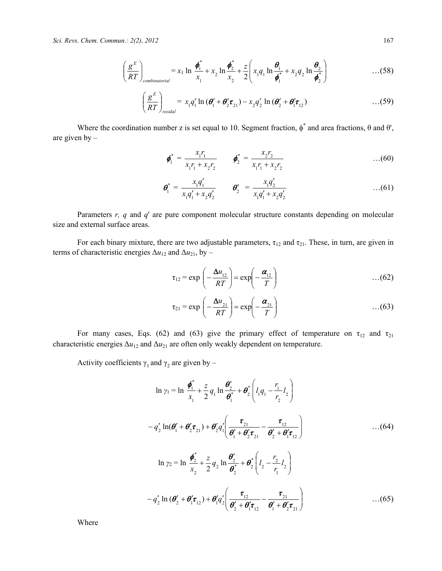*Sci. Revs. Chem. Commun.: 2(2), 2012* 167

$$
\left(\frac{g^E}{RT}\right)_{combinatorial} = x_1 \ln \frac{\phi_1^*}{x_1} + x_2 \ln \frac{\phi_2^*}{x_2} + \frac{z}{2} \left(x_1 q_1 \ln \frac{\theta_1}{\phi_1^*} + x_2 q_2 \ln \frac{\theta_2}{\phi_2^*}\right) \tag{58}
$$

$$
\left(\frac{g^E}{RT}\right)_{residual} = x_1 q_1' \ln \left(\boldsymbol{\theta}_1' + \boldsymbol{\theta}_2' \boldsymbol{\tau}_{21}\right) - x_2 q_2' \ln \left(\boldsymbol{\theta}_2' + \boldsymbol{\theta}_1' \boldsymbol{\tau}_{12}\right) \tag{59}
$$

Where the coordination number z is set equal to 10. Segment fraction,  $\phi^*$  and area fractions,  $\theta$  and  $\theta'$ , are given by –

$$
\boldsymbol{\phi}_1^* = \frac{x_1 r_1}{x_1 r_1 + x_2 r_2} \qquad \boldsymbol{\phi}_2^* = \frac{x_2 r_2}{x_1 r_1 + x_2 r_2} \qquad \qquad \dots (60)
$$

$$
\boldsymbol{\theta}_1^* = \frac{x_1 q_1'}{x_1 q_1' + x_2 q_2'} \qquad \boldsymbol{\theta}_2' = \frac{x_1 q_2'}{x_1 q_1' + x_2 q_2'} \qquad \qquad \dots (61)
$$

Parameters *r, q* and *q*' are pure component molecular structure constants depending on molecular size and external surface areas.

For each binary mixture, there are two adjustable parameters,  $\tau_{12}$  and  $\tau_{21}$ . These, in turn, are given in terms of characteristic energies  $\Delta u_{12}$  and  $\Delta u_{21}$ , by –

$$
\tau_{12} = \exp\left(-\frac{\Delta u_{12}}{RT}\right) = \exp\left(-\frac{\alpha_{12}}{T}\right) \tag{62}
$$

$$
\tau_{21} = \exp\left(-\frac{\Delta u_{21}}{RT}\right) = \exp\left(-\frac{\alpha_{21}}{T}\right) \tag{63}
$$

For many cases, Eqs. (62) and (63) give the primary effect of temperature on  $\tau_{12}$  and  $\tau_{21}$ characteristic energies  $\Delta u_{12}$  and  $\Delta u_{21}$  are often only weakly dependent on temperature.

Activity coefficients  $\gamma_1$  and  $\gamma_2$  are given by –

$$
\ln \gamma_1 = \ln \frac{\phi_1^*}{x_1} + \frac{z}{2} q_1 \ln \frac{\theta_2^*}{\theta_1^*} + \theta_2^* \left( l_1 q_1 - \frac{r_1}{r_2} l_2 \right)
$$
  
\n
$$
- q_2' \ln(\theta_1' + \theta_2' \tau_{21}) + \theta_2' q_1' \left( \frac{\tau_{21}}{\theta_1' + \theta_2' \tau_{21}} - \frac{\tau_{12}}{\theta_2' + \theta_1' \tau_{12}} \right) \qquad \qquad ...(64)
$$
  
\n
$$
\ln \gamma_2 = \ln \frac{\phi_2^*}{x_2} + \frac{z}{2} q_2 \ln \frac{\theta_2'}{\theta_2^*} + \theta_2^* \left( l_2 - \frac{r_2}{r_1} l_2 \right)
$$
  
\n
$$
- q_2' \ln (\theta_2' + \theta_1' \tau_{12}) + \theta_1' q_2' \left( \frac{\tau_{12}}{\theta_2' + \theta_1' \tau_{12}} - \frac{\tau_{21}}{\theta_1' + \theta_2' \tau_{21}} \right) \qquad \qquad ...(65)
$$

Where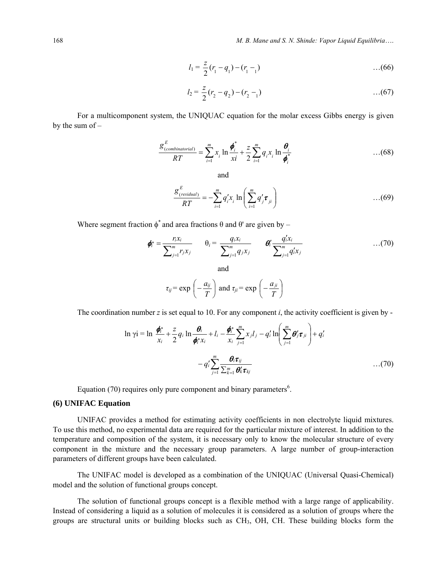$$
l_1 = \frac{z}{2}(r_1 - q_1) - (r_1 - 1) \qquad \qquad \dots (66)
$$

$$
l_2 = \frac{z}{2}(r_2 - q_2) - (r_2 - 1) \tag{67}
$$

For a multicomponent system, the UNIQUAC equation for the molar excess Gibbs energy is given by the sum of –

$$
\frac{\mathcal{S}_{(combinationial)}^E}{RT} = \sum_{i=1}^m x_i \ln \frac{\boldsymbol{\phi}_i^*}{xi} + \frac{z}{2} \sum_{i=1}^m q_i x_i \ln \frac{\boldsymbol{\theta}_i}{\boldsymbol{\phi}_i^*}
$$
...(68)

and

$$
\frac{\mathcal{g}_{\text{(residual)}}^E}{RT} = -\sum_{i=1}^m q_i' x_i \ln\left(\sum_{i=1}^m q_j' \boldsymbol{\tau}_{ji}\right) \tag{69}
$$

Where segment fraction  $\phi^*$  and area fractions  $\theta$  and  $\theta'$  are given by –

$$
\boldsymbol{\phi}_i^* = \frac{r_i x_i}{\sum_{j=1}^m r_j x_j} \qquad \theta_i = \frac{q_i x_i}{\sum_{j=1}^m q_j x_j} \qquad \boldsymbol{\theta}_i^* \frac{q_i^t x_i}{\sum_{j=1}^m q_i^t x_j} \qquad \qquad \dots (70)
$$

$$
\tau_{ij} = \exp\left(-\frac{a_{ij}}{T}\right)
$$
 and  $\tau_{ji} = \exp\left(-\frac{a_{ji}}{T}\right)$ 

The coordination number *z* is set equal to 10. For any component *i*, the activity coefficient is given by -

$$
\ln \gamma i = \ln \frac{\phi_i^*}{x_i} + \frac{z}{2} q_i \ln \frac{\theta_i}{\phi_i^* x_i} + l_i - \frac{\phi_i^*}{x_i} \sum_{j=1}^m x_j l_j - q'_i \ln \left( \sum_{j=1}^m \theta'_j \tau_{ji} \right) + q'_i
$$

$$
- q'_i \sum_{j=1}^m \frac{\theta_i \tau_{ij}}{\sum_{k=1}^m \theta'_k \tau_{kj}} \qquad \qquad \dots (70)
$$

Equation (70) requires only pure component and binary parameters $6$ .

# **(6) UNIFAC Equation**

UNIFAC provides a method for estimating activity coefficients in non electrolyte liquid mixtures. To use this method, no experimental data are required for the particular mixture of interest. In addition to the temperature and composition of the system, it is necessary only to know the molecular structure of every component in the mixture and the necessary group parameters. A large number of group-interaction parameters of different groups have been calculated.

The UNIFAC model is developed as a combination of the UNIQUAC (Universal Quasi-Chemical) model and the solution of functional groups concept.

The solution of functional groups concept is a flexible method with a large range of applicability. Instead of considering a liquid as a solution of molecules it is considered as a solution of groups where the groups are structural units or building blocks such as CH<sub>3</sub>, OH, CH. These building blocks form the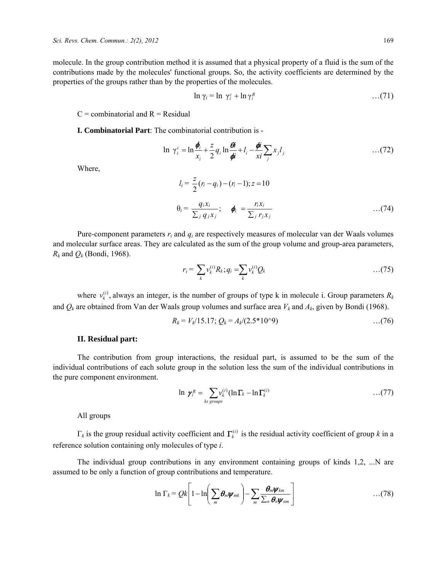molecule. In the group contribution method it is assumed that a physical property of a fluid is the sum of the contributions made by the molecules' functional groups. So, the activity coefficients are determined by the properties of the groups rather than by the properties of the molecules.

$$
\ln \gamma_i = \ln \gamma_i^c + \ln \gamma_i^R \qquad \qquad \dots (71)
$$

 $C =$  combinatorial and  $R =$  Residual

**I. Combinatorial Part**: The combinatorial contribution is -

$$
\ln \gamma_i^c = \ln \frac{\phi_i}{x_i} + \frac{z}{2} q_i \ln \frac{\theta_i}{\phi_i} + l_i - \frac{\phi_i}{x_i} \sum_j x_j l_j \qquad \qquad \dots (72)
$$

Where,

$$
l_i = \frac{z}{2}(r_i - q_i) - (r_i - 1); z = 10
$$
  

$$
\theta_i = \frac{q_i x_i}{\sum_j q_j x_j}; \quad \phi_i = \frac{r_i x_i}{\sum_j r_j x_j} \quad ...(74)
$$

Pure-component parameters *ri* and *qi* are respectively measures of molecular van der Waals volumes and molecular surface areas. They are calculated as the sum of the group volume and group-area parameters,  $R_k$  and  $Q_k$  (Bondi, 1968).

$$
r_i = \sum_k v_k^{(i)} R_k; q_i = \sum_k v_k^{(i)} Q_k \qquad \qquad \ldots (75)
$$

where  $v_k^{(i)}$ , always an integer, is the number of groups of type k in molecule i. Group parameters  $R_k$ and  $Q_k$  are obtained from Van der Waals group volumes and surface area  $V_k$  and  $A_k$ , given by Bondi (1968).

$$
R_k = V_k/15.17; Q_k = A_k/(2.5*10^{\circ}9) \qquad \qquad \dots (76)
$$

### **II. Residual part:**

The contribution from group interactions, the residual part, is assumed to be the sum of the individual contributions of each solute group in the solution less the sum of the individual contributions in the pure component environment.

$$
\ln \ \gamma_i^R = \sum_{ks \ groups} v_k^{(i)} (\ln \Gamma_k - \ln \Gamma_k^{(i)} \qquad \qquad \ldots (77)
$$

All groups

 $\Gamma_k$  is the group residual activity coefficient and  $\Gamma_k^{(i)}$  is the residual activity coefficient of group *k* in a reference solution containing only molecules of type *i*.

The individual group contributions in any environment containing groups of kinds 1,2, ...N are assumed to be only a function of group contributions and temperature.

$$
\ln \Gamma_k = Qk \left[ 1 - \ln \left( \sum_m \theta_m \psi_{mk} \right) - \sum_m \frac{\theta_m \psi_{km}}{\sum_n \theta_n \psi_{nm}} \right] \hspace{1cm} \ldots (78)
$$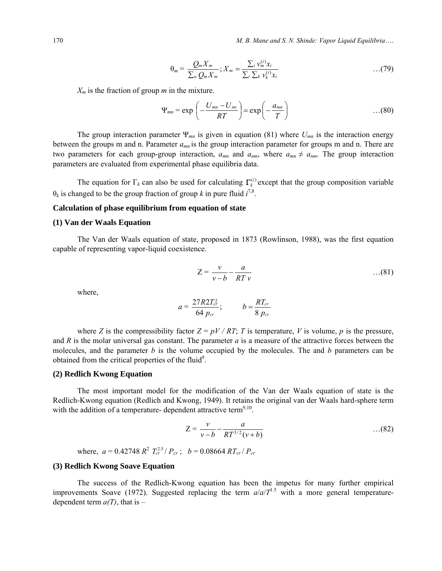170 *M. B. Mane and S. N. Shinde: Vapor Liquid Equilibria*….

$$
\theta_m = \frac{Q_m X_m}{\sum_n Q_m X_m}; X_m = \frac{\sum_i \nu_m^{(i)} x_i}{\sum_i \sum_k \nu_k^{(i)} x_i} \qquad \qquad \ldots (79)
$$

 $X_m$  is the fraction of group *m* in the mixture.

$$
\Psi_{mn} = \exp\left(-\frac{U_{mn} - U_{nn}}{RT}\right) = \exp\left(-\frac{a_{mn}}{T}\right) \tag{80}
$$

The group interaction parameter Ψ*mn* is given in equation (81) where *Umn* is the interaction energy between the groups m and n. Parameter *amn* is the group interaction parameter for groups m and n. There are two parameters for each group-group interaction,  $a_{mn}$  and  $a_{nm}$ , where  $a_{mn} \neq a_{nm}$ . The group interaction parameters are evaluated from experimental phase equilibria data.

The equation for  $\Gamma_k$  can also be used for calculating  $\Gamma_k^{(i)}$  except that the group composition variable  $\theta_k$  is changed to be the group fraction of group *k* in pure fluid  $i^{7,8}$ .

### **Calculation of phase equilibrium from equation of state**

#### **(1) Van der Waals Equation**

The Van der Waals equation of state, proposed in 1873 (Rowlinson, 1988), was the first equation capable of representing vapor-liquid coexistence.

$$
Z = \frac{v}{v - b} - \frac{a}{RT v} \qquad \qquad \dots (81)
$$

where,

$$
a = \frac{27R2T_{cr}^2}{64\ p_{cr}}; \qquad b = \frac{RT_{cr}}{8\ p_{cr}}
$$

where *Z* is the compressibility factor  $Z = pV / RT$ ; *T* is temperature, *V* is volume, *p* is the pressure, and *R* is the molar universal gas constant. The parameter *a* is a measure of the attractive forces between the molecules, and the parameter *b* is the volume occupied by the molecules. The and *b* parameters can be obtained from the critical properties of the fluid<sup>9</sup>.

#### **(2) Redlich Kwong Equation**

The most important model for the modification of the Van der Waals equation of state is the Redlich-Kwong equation (Redlich and Kwong, 1949). It retains the original van der Waals hard-sphere term with the addition of a temperature- dependent attractive term<sup>9,10</sup>.

$$
Z = \frac{v}{v - b} - \frac{a}{RT^{3/2}(v + b)}
$$
...(82)

where,  $a = 0.42748 R^2 T_{cr}^{2.5} / P_{cr}$ ;  $b = 0.08664 R T_{cr} / P_{cr}$ 

#### **(3) Redlich Kwong Soave Equation**

The success of the Redlich-Kwong equation has been the impetus for many further empirical improvements Soave (1972). Suggested replacing the term  $a/a/T^{1.5}$  with a more general temperaturedependent term  $a(T)$ , that is –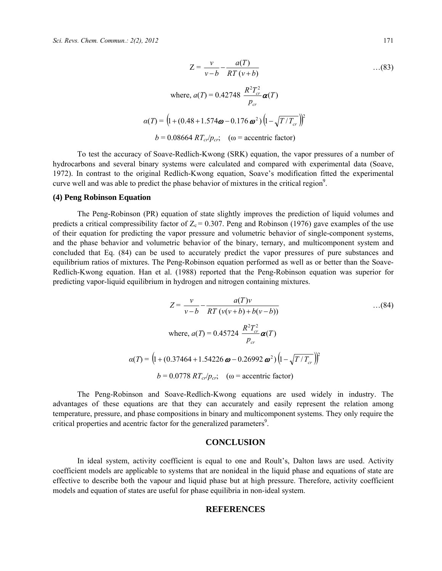$$
Z = \frac{v}{v - b} - \frac{a(T)}{RT(v + b)}
$$
...(83)  
where,  $a(T) = 0.42748 \frac{R^2 T_{cr}^2}{p_{cr}} \alpha(T)$   
 $\alpha(T) = (1 + (0.48 + 1.574\omega - 0.176 \omega^2) (1 - \sqrt{T/T_{cr}}))^2$   
 $b = 0.08664 RT_{cr}/p_{cr}$ ; (ω = accentric factor)

To test the accuracy of Soave-Redlich-Kwong (SRK) equation, the vapor pressures of a number of hydrocarbons and several binary systems were calculated and compared with experimental data (Soave, 1972). In contrast to the original Redlich-Kwong equation, Soave's modification fitted the experimental curve well and was able to predict the phase behavior of mixtures in the critical region<sup>9</sup>.

#### **(4) Peng Robinson Equation**

The Peng-Robinson (PR) equation of state slightly improves the prediction of liquid volumes and predicts a critical compressibility factor of  $Z_c = 0.307$ . Peng and Robinson (1976) gave examples of the use of their equation for predicting the vapor pressure and volumetric behavior of single-component systems, and the phase behavior and volumetric behavior of the binary, ternary, and multicomponent system and concluded that Eq. (84) can be used to accurately predict the vapor pressures of pure substances and equilibrium ratios of mixtures. The Peng-Robinson equation performed as well as or better than the Soave-Redlich-Kwong equation. Han et al. (1988) reported that the Peng-Robinson equation was superior for predicting vapor-liquid equilibrium in hydrogen and nitrogen containing mixtures.

$$
Z = \frac{v}{v - b} - \frac{a(T)v}{RT(v(v + b) + b(v - b))}
$$
...(84)  
where,  $a(T) = 0.45724 \frac{R^2 T_{cr}^2}{p_{cr}} \alpha(T)$   
 $\alpha(T) = \left(1 + (0.37464 + 1.54226 \omega - 0.26992 \omega^2) \left(1 - \sqrt{T/T_{cr}}\right)\right)^2$   
 $b = 0.0778 RT_{cr}/p_{cr}$ ; ( $\omega$  = accentric factor)

The Peng-Robinson and Soave-Redlich-Kwong equations are used widely in industry. The advantages of these equations are that they can accurately and easily represent the relation among temperature, pressure, and phase compositions in binary and multicomponent systems. They only require the critical properties and acentric factor for the generalized parameters<sup>9</sup>.

## **CONCLUSION**

In ideal system, activity coefficient is equal to one and Roult's, Dalton laws are used. Activity coefficient models are applicable to systems that are nonideal in the liquid phase and equations of state are effective to describe both the vapour and liquid phase but at high pressure. Therefore, activity coefficient models and equation of states are useful for phase equilibria in non-ideal system.

# **REFERENCES**